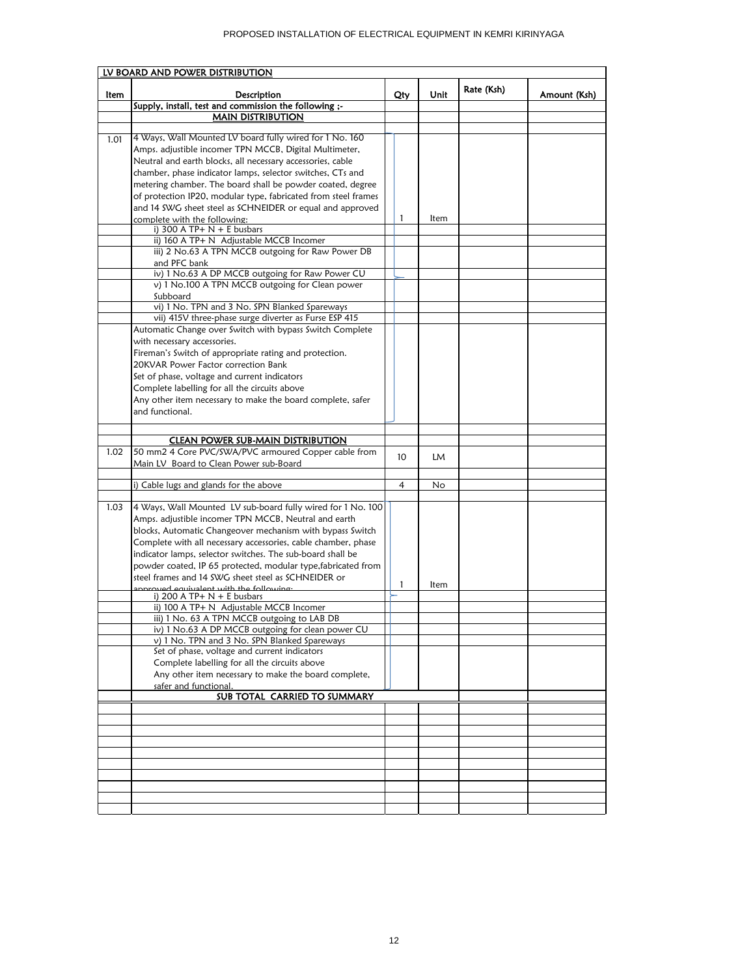|      | LV BOARD AND POWER DISTRIBUTION                                         |     |      |            |              |  |  |
|------|-------------------------------------------------------------------------|-----|------|------------|--------------|--|--|
| ltem | Description                                                             | Qty | Unit | Rate (Ksh) | Amount (Ksh) |  |  |
|      | Supply, install, test and commission the following ;-                   |     |      |            |              |  |  |
|      | <b>MAIN DISTRIBUTION</b>                                                |     |      |            |              |  |  |
|      |                                                                         |     |      |            |              |  |  |
| 1.01 | 4 Ways, Wall Mounted LV board fully wired for 1 No. 160                 |     |      |            |              |  |  |
|      | Amps. adjustible incomer TPN MCCB, Digital Multimeter,                  |     |      |            |              |  |  |
|      | Neutral and earth blocks, all necessary accessories, cable              |     |      |            |              |  |  |
|      | chamber, phase indicator lamps, selector switches, CTs and              |     |      |            |              |  |  |
|      | metering chamber. The board shall be powder coated, degree              |     |      |            |              |  |  |
|      | of protection IP20, modular type, fabricated from steel frames          |     |      |            |              |  |  |
|      | and 14 SWG sheet steel as SCHNEIDER or equal and approved               |     |      |            |              |  |  |
|      | complete with the following:                                            | 1   | ltem |            |              |  |  |
|      | i) 300 A TP+ $N + E$ busbars                                            |     |      |            |              |  |  |
|      | ii) 160 A TP+ N Adjustable MCCB Incomer                                 |     |      |            |              |  |  |
|      | iii) 2 No.63 A TPN MCCB outgoing for Raw Power DB                       |     |      |            |              |  |  |
|      | and PFC bank                                                            |     |      |            |              |  |  |
|      | iv) 1 No.63 A DP MCCB outgoing for Raw Power CU                         |     |      |            |              |  |  |
|      | v) 1 No.100 A TPN MCCB outgoing for Clean power                         |     |      |            |              |  |  |
|      | Subboard                                                                |     |      |            |              |  |  |
|      | vi) 1 No. TPN and 3 No. SPN Blanked Spareways                           |     |      |            |              |  |  |
|      | vii) 415V three-phase surge diverter as Furse ESP 415                   |     |      |            |              |  |  |
|      | Automatic Change over Switch with bypass Switch Complete                |     |      |            |              |  |  |
|      | with necessary accessories.                                             |     |      |            |              |  |  |
|      | Fireman's Switch of appropriate rating and protection.                  |     |      |            |              |  |  |
|      | 20KVAR Power Factor correction Bank                                     |     |      |            |              |  |  |
|      | Set of phase, voltage and current indicators                            |     |      |            |              |  |  |
|      | Complete labelling for all the circuits above                           |     |      |            |              |  |  |
|      | Any other item necessary to make the board complete, safer              |     |      |            |              |  |  |
|      | and functional.                                                         |     |      |            |              |  |  |
|      |                                                                         |     |      |            |              |  |  |
|      | <b>CLEAN POWER SUB-MAIN DISTRIBUTION</b>                                |     |      |            |              |  |  |
| 1.02 | 50 mm2 4 Core PVC/SWA/PVC armoured Copper cable from                    | 10  | LM   |            |              |  |  |
|      | Main LV Board to Clean Power sub-Board                                  |     |      |            |              |  |  |
|      |                                                                         |     |      |            |              |  |  |
|      | i) Cable lugs and glands for the above                                  | 4   | No   |            |              |  |  |
|      |                                                                         |     |      |            |              |  |  |
| 1.03 | 4 Ways, Wall Mounted LV sub-board fully wired for 1 No. 100             |     |      |            |              |  |  |
|      | Amps. adjustible incomer TPN MCCB, Neutral and earth                    |     |      |            |              |  |  |
|      | blocks, Automatic Changeover mechanism with bypass Switch               |     |      |            |              |  |  |
|      | Complete with all necessary accessories, cable chamber, phase           |     |      |            |              |  |  |
|      | indicator lamps, selector switches. The sub-board shall be              |     |      |            |              |  |  |
|      | powder coated, IP 65 protected, modular type, fabricated from           |     |      |            |              |  |  |
|      | steel frames and 14 SWG sheet steel as SCHNEIDER or                     | 1   | ltem |            |              |  |  |
|      | ennrouad equivalent with the following.<br>i) 200 A TP+ $N + E$ busbars |     |      |            |              |  |  |
|      | ii) 100 A TP+ N Adjustable MCCB Incomer                                 |     |      |            |              |  |  |
|      | iii) 1 No. 63 A TPN MCCB outgoing to LAB DB                             |     |      |            |              |  |  |
|      | iv) 1 No.63 A DP MCCB outgoing for clean power CU                       |     |      |            |              |  |  |
|      | v) 1 No. TPN and 3 No. SPN Blanked Spareways                            |     |      |            |              |  |  |
|      | Set of phase, voltage and current indicators                            |     |      |            |              |  |  |
|      | Complete labelling for all the circuits above                           |     |      |            |              |  |  |
|      | Any other item necessary to make the board complete,                    |     |      |            |              |  |  |
|      | safer and functional.                                                   |     |      |            |              |  |  |
|      | SUB TOTAL CARRIED TO SUMMARY                                            |     |      |            |              |  |  |
|      |                                                                         |     |      |            |              |  |  |
|      |                                                                         |     |      |            |              |  |  |
|      |                                                                         |     |      |            |              |  |  |
|      |                                                                         |     |      |            |              |  |  |
|      |                                                                         |     |      |            |              |  |  |
|      |                                                                         |     |      |            |              |  |  |
|      |                                                                         |     |      |            |              |  |  |
|      |                                                                         |     |      |            |              |  |  |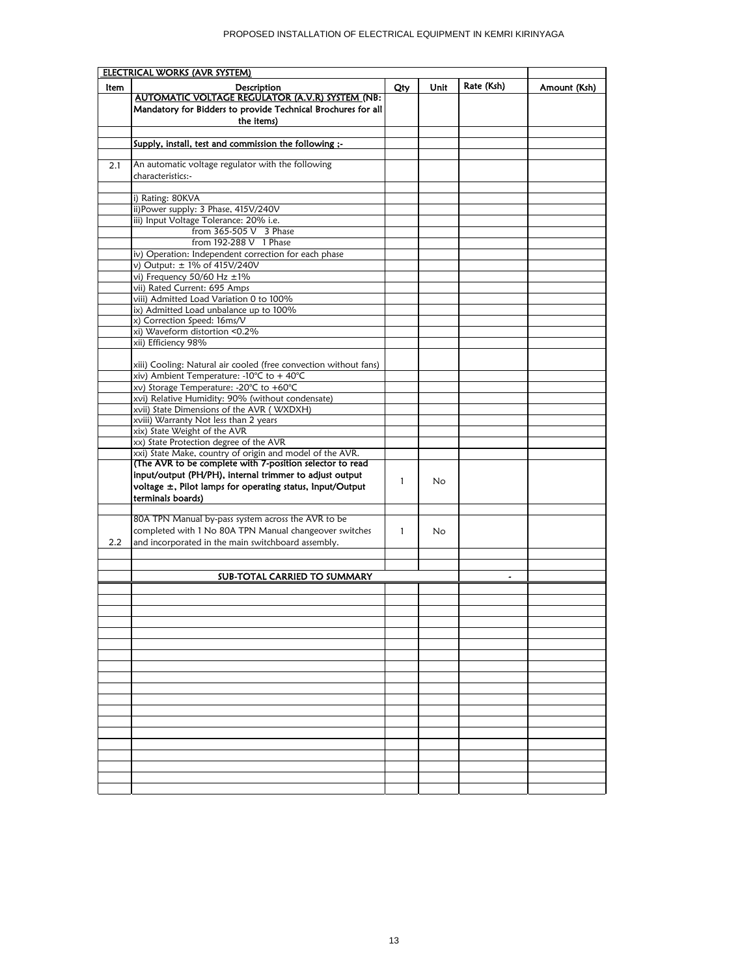| <b>ELECTRICAL WORKS (AVR SYSTEM)</b> |                                                                                    |     |      |            |              |
|--------------------------------------|------------------------------------------------------------------------------------|-----|------|------------|--------------|
| <b>Item</b>                          | Description                                                                        | Qty | Unit | Rate (Ksh) | Amount (Ksh) |
|                                      | AUTOMATIC VOLTAGE REGULATOR (A.V.R) SYSTEM (NB:                                    |     |      |            |              |
|                                      | Mandatory for Bidders to provide Technical Brochures for all                       |     |      |            |              |
|                                      | the items)                                                                         |     |      |            |              |
|                                      |                                                                                    |     |      |            |              |
|                                      | Supply, install, test and commission the following ;-                              |     |      |            |              |
|                                      |                                                                                    |     |      |            |              |
| 2.1                                  | An automatic voltage regulator with the following                                  |     |      |            |              |
|                                      | characteristics:-                                                                  |     |      |            |              |
|                                      |                                                                                    |     |      |            |              |
|                                      | i) Rating: 80KVA                                                                   |     |      |            |              |
|                                      | ii)Power supply: 3 Phase, 415V/240V                                                |     |      |            |              |
|                                      | iii) Input Voltage Tolerance: 20% i.e.                                             |     |      |            |              |
|                                      | from 365-505 V 3 Phase                                                             |     |      |            |              |
|                                      | from 192-288 V 1 Phase                                                             |     |      |            |              |
|                                      | iv) Operation: Independent correction for each phase                               |     |      |            |              |
|                                      | v) Output: ± 1% of 415V/240V                                                       |     |      |            |              |
|                                      | vi) Frequency 50/60 Hz ±1%                                                         |     |      |            |              |
|                                      | vii) Rated Current: 695 Amps                                                       |     |      |            |              |
|                                      | viii) Admitted Load Variation 0 to 100%                                            |     |      |            |              |
|                                      | ix) Admitted Load unbalance up to 100%                                             |     |      |            |              |
|                                      | x) Correction Speed: 16ms/V                                                        |     |      |            |              |
|                                      | xi) Waveform distortion <0.2%                                                      |     |      |            |              |
|                                      | xii) Efficiency 98%                                                                |     |      |            |              |
|                                      |                                                                                    |     |      |            |              |
|                                      | xiii) Cooling: Natural air cooled (free convection without fans)                   |     |      |            |              |
|                                      | xiv) Ambient Temperature: -10°C to + 40°C                                          |     |      |            |              |
|                                      | xv) Storage Temperature: -20°C to +60°C                                            |     |      |            |              |
|                                      | xvi) Relative Humidity: 90% (without condensate)                                   |     |      |            |              |
|                                      | xvii) State Dimensions of the AVR (WXDXH)<br>xviii) Warranty Not less than 2 years |     |      |            |              |
|                                      | xix) State Weight of the AVR                                                       |     |      |            |              |
|                                      | xx) State Protection degree of the AVR                                             |     |      |            |              |
|                                      | xxi) State Make, country of origin and model of the AVR.                           |     |      |            |              |
|                                      | (The AVR to be complete with 7-position selector to read                           |     |      |            |              |
|                                      | input/output (PH/PH), internal trimmer to adjust output                            |     |      |            |              |
|                                      | voltage $\pm$ , Pilot lamps for operating status, Input/Output                     | 1   | No   |            |              |
|                                      | terminals boards)                                                                  |     |      |            |              |
|                                      |                                                                                    |     |      |            |              |
|                                      | 80A TPN Manual by-pass system across the AVR to be                                 |     |      |            |              |
|                                      | completed with 1 No 80A TPN Manual changeover switches                             | 1   | No.  |            |              |
| 2.2                                  | and incorporated in the main switchboard assembly.                                 |     |      |            |              |
|                                      |                                                                                    |     |      |            |              |
|                                      |                                                                                    |     |      |            |              |
|                                      | SUB-TOTAL CARRIED TO SUMMARY                                                       |     |      |            |              |
|                                      |                                                                                    |     |      |            |              |
|                                      |                                                                                    |     |      |            |              |
|                                      |                                                                                    |     |      |            |              |
|                                      |                                                                                    |     |      |            |              |
|                                      |                                                                                    |     |      |            |              |
|                                      |                                                                                    |     |      |            |              |
|                                      |                                                                                    |     |      |            |              |
|                                      |                                                                                    |     |      |            |              |
|                                      |                                                                                    |     |      |            |              |
|                                      |                                                                                    |     |      |            |              |
|                                      |                                                                                    |     |      |            |              |
|                                      |                                                                                    |     |      |            |              |
|                                      |                                                                                    |     |      |            |              |
|                                      |                                                                                    |     |      |            |              |
|                                      |                                                                                    |     |      |            |              |
|                                      |                                                                                    |     |      |            |              |
|                                      |                                                                                    |     |      |            |              |
|                                      |                                                                                    |     |      |            |              |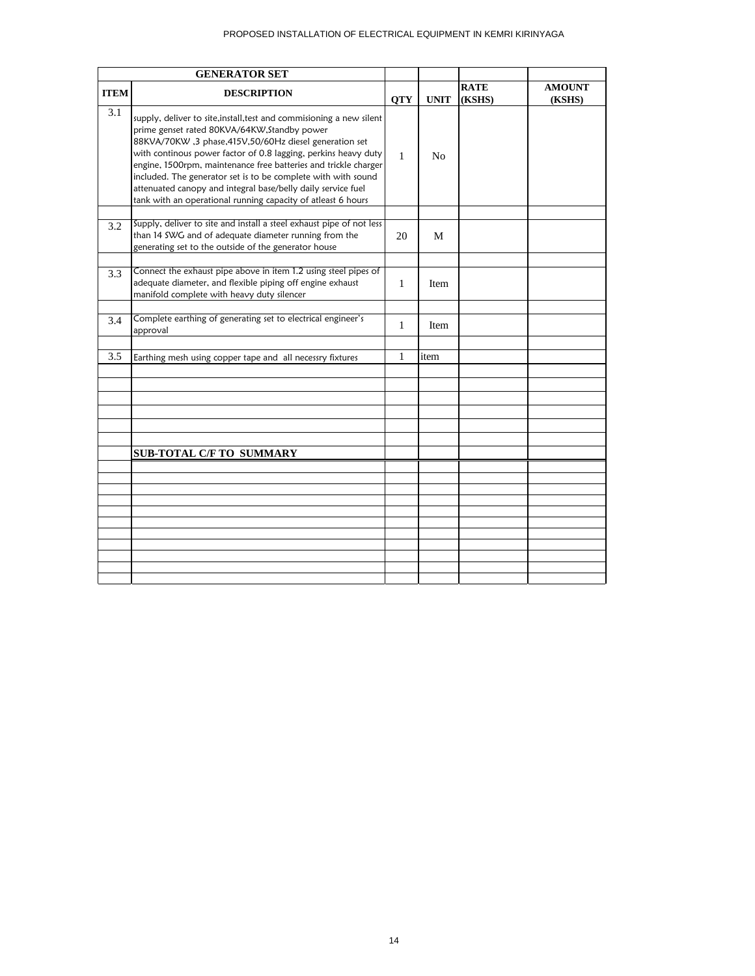## PROPOSED INSTALLATION OF ELECTRICAL EQUIPMENT IN KEMRI KIRINYAGA

|             | <b>GENERATOR SET</b>                                                                                                                                                                                                                                                                                                                                                                                                                                                                                                   |              |                |                       |                         |
|-------------|------------------------------------------------------------------------------------------------------------------------------------------------------------------------------------------------------------------------------------------------------------------------------------------------------------------------------------------------------------------------------------------------------------------------------------------------------------------------------------------------------------------------|--------------|----------------|-----------------------|-------------------------|
| <b>ITEM</b> | <b>DESCRIPTION</b>                                                                                                                                                                                                                                                                                                                                                                                                                                                                                                     | <b>QTY</b>   | <b>UNIT</b>    | <b>RATE</b><br>(KSHS) | <b>AMOUNT</b><br>(KSHS) |
| 3.1         | supply, deliver to site, install, test and commisioning a new silent<br>prime genset rated 80KVA/64KW, Standby power<br>88KVA/70KW, 3 phase, 415V, 50/60Hz diesel generation set<br>with continous power factor of 0.8 lagging, perkins heavy duty<br>engine, 1500rpm, maintenance free batteries and trickle charger<br>included. The generator set is to be complete with with sound<br>attenuated canopy and integral base/belly daily service fuel<br>tank with an operational running capacity of atleast 6 hours | $\mathbf{1}$ | N <sub>o</sub> |                       |                         |
| 3.2         | Supply, deliver to site and install a steel exhaust pipe of not less<br>than 14 SWG and of adequate diameter running from the<br>generating set to the outside of the generator house                                                                                                                                                                                                                                                                                                                                  | 20           | M              |                       |                         |
| 3.3         | Connect the exhaust pipe above in item 1.2 using steel pipes of<br>adequate diameter, and flexible piping off engine exhaust<br>manifold complete with heavy duty silencer                                                                                                                                                                                                                                                                                                                                             | $\mathbf{1}$ | Item           |                       |                         |
| 3.4         | Complete earthing of generating set to electrical engineer's<br>approval                                                                                                                                                                                                                                                                                                                                                                                                                                               | $\mathbf{1}$ | Item           |                       |                         |
| 3.5         | Earthing mesh using copper tape and all necessry fixtures                                                                                                                                                                                                                                                                                                                                                                                                                                                              | 1            | item           |                       |                         |
|             |                                                                                                                                                                                                                                                                                                                                                                                                                                                                                                                        |              |                |                       |                         |
|             |                                                                                                                                                                                                                                                                                                                                                                                                                                                                                                                        |              |                |                       |                         |
|             |                                                                                                                                                                                                                                                                                                                                                                                                                                                                                                                        |              |                |                       |                         |
|             |                                                                                                                                                                                                                                                                                                                                                                                                                                                                                                                        |              |                |                       |                         |
|             | <b>SUB-TOTAL C/F TO SUMMARY</b>                                                                                                                                                                                                                                                                                                                                                                                                                                                                                        |              |                |                       |                         |
|             |                                                                                                                                                                                                                                                                                                                                                                                                                                                                                                                        |              |                |                       |                         |
|             |                                                                                                                                                                                                                                                                                                                                                                                                                                                                                                                        |              |                |                       |                         |
|             |                                                                                                                                                                                                                                                                                                                                                                                                                                                                                                                        |              |                |                       |                         |
|             |                                                                                                                                                                                                                                                                                                                                                                                                                                                                                                                        |              |                |                       |                         |
|             |                                                                                                                                                                                                                                                                                                                                                                                                                                                                                                                        |              |                |                       |                         |
|             |                                                                                                                                                                                                                                                                                                                                                                                                                                                                                                                        |              |                |                       |                         |
|             |                                                                                                                                                                                                                                                                                                                                                                                                                                                                                                                        |              |                |                       |                         |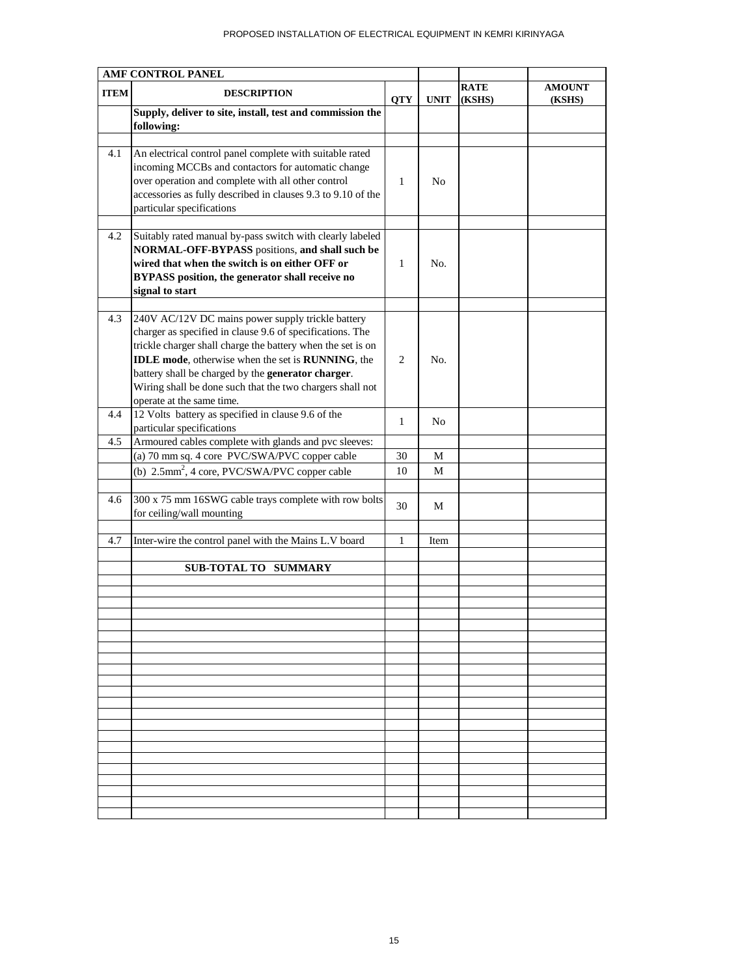## PROPOSED INSTALLATION OF ELECTRICAL EQUIPMENT IN KEMRI KIRINYAGA

| AMF CONTROL PANEL |                                                                                                                                                                                                                                                                                                                                                                                                   |            |             |                |                         |
|-------------------|---------------------------------------------------------------------------------------------------------------------------------------------------------------------------------------------------------------------------------------------------------------------------------------------------------------------------------------------------------------------------------------------------|------------|-------------|----------------|-------------------------|
| <b>ITEM</b>       | <b>DESCRIPTION</b>                                                                                                                                                                                                                                                                                                                                                                                | <b>QTY</b> | <b>UNIT</b> | RATE<br>(KSHS) | <b>AMOUNT</b><br>(KSHS) |
|                   | Supply, deliver to site, install, test and commission the<br>following:                                                                                                                                                                                                                                                                                                                           |            |             |                |                         |
|                   |                                                                                                                                                                                                                                                                                                                                                                                                   |            |             |                |                         |
| 4.1               | An electrical control panel complete with suitable rated<br>incoming MCCBs and contactors for automatic change<br>over operation and complete with all other control<br>accessories as fully described in clauses 9.3 to 9.10 of the<br>particular specifications                                                                                                                                 | 1          | No          |                |                         |
| 4.2               | Suitably rated manual by-pass switch with clearly labeled                                                                                                                                                                                                                                                                                                                                         |            |             |                |                         |
|                   | NORMAL-OFF-BYPASS positions, and shall such be<br>wired that when the switch is on either OFF or<br><b>BYPASS</b> position, the generator shall receive no<br>signal to start                                                                                                                                                                                                                     | 1          | No.         |                |                         |
| 4.3               | 240V AC/12V DC mains power supply trickle battery<br>charger as specified in clause 9.6 of specifications. The<br>trickle charger shall charge the battery when the set is on<br><b>IDLE</b> mode, otherwise when the set is <b>RUNNING</b> , the<br>battery shall be charged by the generator charger.<br>Wiring shall be done such that the two chargers shall not<br>operate at the same time. | 2          | No.         |                |                         |
| 4.4               | 12 Volts battery as specified in clause 9.6 of the<br>particular specifications                                                                                                                                                                                                                                                                                                                   | 1          | No          |                |                         |
| 4.5               | Armoured cables complete with glands and pvc sleeves:                                                                                                                                                                                                                                                                                                                                             |            |             |                |                         |
|                   | (a) 70 mm sq. 4 core PVC/SWA/PVC copper cable                                                                                                                                                                                                                                                                                                                                                     | 30         | М           |                |                         |
|                   | (b) 2.5mm <sup>2</sup> , 4 core, PVC/SWA/PVC copper cable                                                                                                                                                                                                                                                                                                                                         | 10         | М           |                |                         |
|                   |                                                                                                                                                                                                                                                                                                                                                                                                   |            |             |                |                         |
| 4.6               | 300 x 75 mm 16SWG cable trays complete with row bolts<br>for ceiling/wall mounting                                                                                                                                                                                                                                                                                                                | 30         | М           |                |                         |
| 4.7               | Inter-wire the control panel with the Mains L.V board                                                                                                                                                                                                                                                                                                                                             | 1          | Item        |                |                         |
|                   |                                                                                                                                                                                                                                                                                                                                                                                                   |            |             |                |                         |
|                   | <b>SUB-TOTAL TO SUMMARY</b>                                                                                                                                                                                                                                                                                                                                                                       |            |             |                |                         |
|                   |                                                                                                                                                                                                                                                                                                                                                                                                   |            |             |                |                         |
|                   |                                                                                                                                                                                                                                                                                                                                                                                                   |            |             |                |                         |
|                   |                                                                                                                                                                                                                                                                                                                                                                                                   |            |             |                |                         |
|                   |                                                                                                                                                                                                                                                                                                                                                                                                   |            |             |                |                         |
|                   |                                                                                                                                                                                                                                                                                                                                                                                                   |            |             |                |                         |
|                   |                                                                                                                                                                                                                                                                                                                                                                                                   |            |             |                |                         |
|                   |                                                                                                                                                                                                                                                                                                                                                                                                   |            |             |                |                         |
|                   |                                                                                                                                                                                                                                                                                                                                                                                                   |            |             |                |                         |
|                   |                                                                                                                                                                                                                                                                                                                                                                                                   |            |             |                |                         |
|                   |                                                                                                                                                                                                                                                                                                                                                                                                   |            |             |                |                         |
|                   |                                                                                                                                                                                                                                                                                                                                                                                                   |            |             |                |                         |
|                   |                                                                                                                                                                                                                                                                                                                                                                                                   |            |             |                |                         |
|                   |                                                                                                                                                                                                                                                                                                                                                                                                   |            |             |                |                         |
|                   |                                                                                                                                                                                                                                                                                                                                                                                                   |            |             |                |                         |
|                   |                                                                                                                                                                                                                                                                                                                                                                                                   |            |             |                |                         |
|                   |                                                                                                                                                                                                                                                                                                                                                                                                   |            |             |                |                         |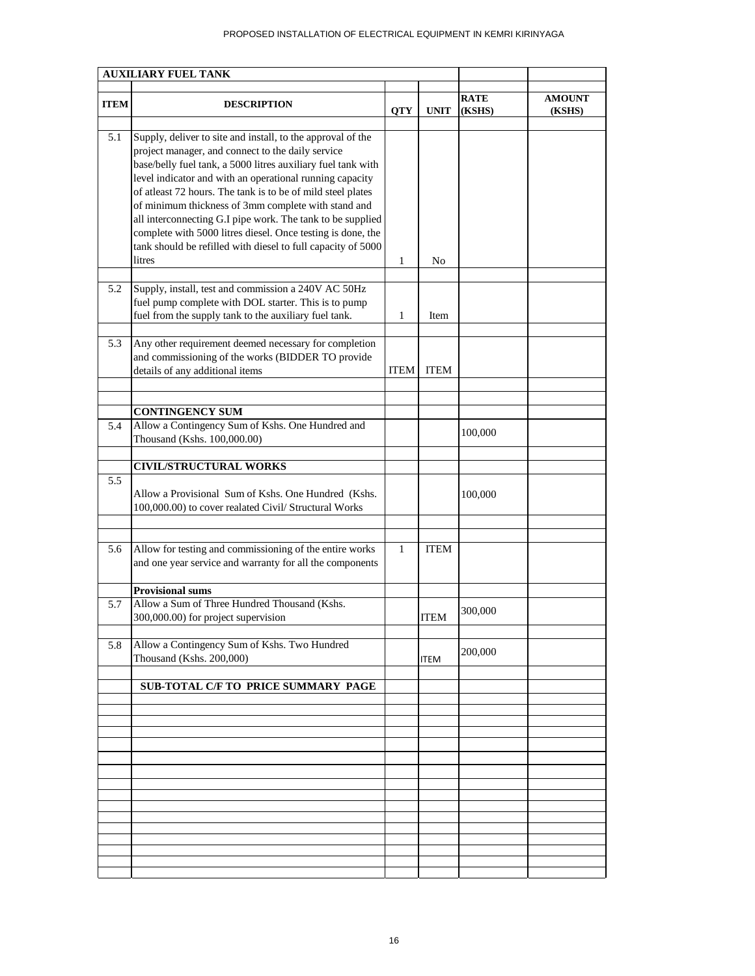## PROPOSED INSTALLATION OF ELECTRICAL EQUIPMENT IN KEMRI KIRINYAGA

|             | <b>AUXILIARY FUEL TANK</b>                                                                                                                                                                                                                                                                                                                                                                                                                                                                                                                                                |            |             |                       |                         |
|-------------|---------------------------------------------------------------------------------------------------------------------------------------------------------------------------------------------------------------------------------------------------------------------------------------------------------------------------------------------------------------------------------------------------------------------------------------------------------------------------------------------------------------------------------------------------------------------------|------------|-------------|-----------------------|-------------------------|
| <b>ITEM</b> | <b>DESCRIPTION</b>                                                                                                                                                                                                                                                                                                                                                                                                                                                                                                                                                        | <b>QTY</b> | <b>UNIT</b> | <b>RATE</b><br>(KSHS) | <b>AMOUNT</b><br>(KSHS) |
| 5.1         | Supply, deliver to site and install, to the approval of the<br>project manager, and connect to the daily service<br>base/belly fuel tank, a 5000 litres auxiliary fuel tank with<br>level indicator and with an operational running capacity<br>of atleast 72 hours. The tank is to be of mild steel plates<br>of minimum thickness of 3mm complete with stand and<br>all interconnecting G.I pipe work. The tank to be supplied<br>complete with 5000 litres diesel. Once testing is done, the<br>tank should be refilled with diesel to full capacity of 5000<br>litres | 1          | No          |                       |                         |
|             |                                                                                                                                                                                                                                                                                                                                                                                                                                                                                                                                                                           |            |             |                       |                         |
| 5.2         | Supply, install, test and commission a 240V AC 50Hz<br>fuel pump complete with DOL starter. This is to pump<br>fuel from the supply tank to the auxiliary fuel tank.                                                                                                                                                                                                                                                                                                                                                                                                      | 1          | Item        |                       |                         |
| 5.3         | Any other requirement deemed necessary for completion<br>and commissioning of the works (BIDDER TO provide<br>details of any additional items                                                                                                                                                                                                                                                                                                                                                                                                                             | ITEM       | <b>ITEM</b> |                       |                         |
|             | <b>CONTINGENCY SUM</b>                                                                                                                                                                                                                                                                                                                                                                                                                                                                                                                                                    |            |             |                       |                         |
| 5.4         | Allow a Contingency Sum of Kshs. One Hundred and<br>Thousand (Kshs. 100,000.00)                                                                                                                                                                                                                                                                                                                                                                                                                                                                                           |            |             | 100,000               |                         |
|             | <b>CIVIL/STRUCTURAL WORKS</b>                                                                                                                                                                                                                                                                                                                                                                                                                                                                                                                                             |            |             |                       |                         |
| 5.5         | Allow a Provisional Sum of Kshs. One Hundred (Kshs.<br>100,000.00) to cover realated Civil/ Structural Works                                                                                                                                                                                                                                                                                                                                                                                                                                                              |            |             | 100,000               |                         |
| 5.6         | Allow for testing and commissioning of the entire works<br>and one year service and warranty for all the components                                                                                                                                                                                                                                                                                                                                                                                                                                                       | 1          | <b>ITEM</b> |                       |                         |
|             | <b>Provisional sums</b>                                                                                                                                                                                                                                                                                                                                                                                                                                                                                                                                                   |            |             |                       |                         |
| 5.7         | Allow a Sum of Three Hundred Thousand (Kshs.<br>300,000.00) for project supervision                                                                                                                                                                                                                                                                                                                                                                                                                                                                                       |            | <b>ITEM</b> | 300,000               |                         |
| 5.8         | Allow a Contingency Sum of Kshs. Two Hundred<br>Thousand (Kshs. 200,000)                                                                                                                                                                                                                                                                                                                                                                                                                                                                                                  |            | <b>ITEM</b> | 200,000               |                         |
|             | SUB-TOTAL C/F TO PRICE SUMMARY PAGE                                                                                                                                                                                                                                                                                                                                                                                                                                                                                                                                       |            |             |                       |                         |
|             |                                                                                                                                                                                                                                                                                                                                                                                                                                                                                                                                                                           |            |             |                       |                         |
|             |                                                                                                                                                                                                                                                                                                                                                                                                                                                                                                                                                                           |            |             |                       |                         |
|             |                                                                                                                                                                                                                                                                                                                                                                                                                                                                                                                                                                           |            |             |                       |                         |
|             |                                                                                                                                                                                                                                                                                                                                                                                                                                                                                                                                                                           |            |             |                       |                         |
|             |                                                                                                                                                                                                                                                                                                                                                                                                                                                                                                                                                                           |            |             |                       |                         |
|             |                                                                                                                                                                                                                                                                                                                                                                                                                                                                                                                                                                           |            |             |                       |                         |
|             |                                                                                                                                                                                                                                                                                                                                                                                                                                                                                                                                                                           |            |             |                       |                         |
|             |                                                                                                                                                                                                                                                                                                                                                                                                                                                                                                                                                                           |            |             |                       |                         |
|             |                                                                                                                                                                                                                                                                                                                                                                                                                                                                                                                                                                           |            |             |                       |                         |
|             |                                                                                                                                                                                                                                                                                                                                                                                                                                                                                                                                                                           |            |             |                       |                         |
|             |                                                                                                                                                                                                                                                                                                                                                                                                                                                                                                                                                                           |            |             |                       |                         |